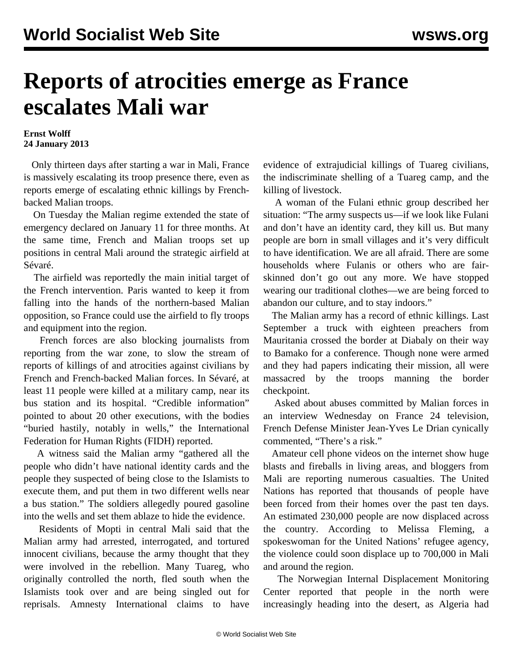## **Reports of atrocities emerge as France escalates Mali war**

**Ernst Wolff 24 January 2013**

 Only thirteen days after starting a war in Mali, France is massively escalating its troop presence there, even as reports emerge of escalating ethnic killings by Frenchbacked Malian troops.

 On Tuesday the Malian regime extended the state of emergency declared on January 11 for three months. At the same time, French and Malian troops set up positions in central Mali around the strategic airfield at Sévaré.

 The airfield was reportedly the main initial target of the French intervention. Paris wanted to keep it from falling into the hands of the northern-based Malian opposition, so France could use the airfield to fly troops and equipment into the region.

 French forces are also blocking journalists from reporting from the war zone, to slow the stream of reports of killings of and atrocities against civilians by French and French-backed Malian forces. In Sévaré, at least 11 people were killed at a military camp, near its bus station and its hospital. "Credible information" pointed to about 20 other executions, with the bodies "buried hastily, notably in wells," the International Federation for Human Rights (FIDH) reported.

 A witness said the Malian army "gathered all the people who didn't have national identity cards and the people they suspected of being close to the Islamists to execute them, and put them in two different wells near a bus station." The soldiers allegedly poured gasoline into the wells and set them ablaze to hide the evidence.

 Residents of Mopti in central Mali said that the Malian army had arrested, interrogated, and tortured innocent civilians, because the army thought that they were involved in the rebellion. Many Tuareg, who originally controlled the north, fled south when the Islamists took over and are being singled out for reprisals. Amnesty International claims to have

evidence of extrajudicial killings of Tuareg civilians, the indiscriminate shelling of a Tuareg camp, and the killing of livestock.

 A woman of the Fulani ethnic group described her situation: "The army suspects us—if we look like Fulani and don't have an identity card, they kill us. But many people are born in small villages and it's very difficult to have identification. We are all afraid. There are some households where Fulanis or others who are fairskinned don't go out any more. We have stopped wearing our traditional clothes—we are being forced to abandon our culture, and to stay indoors."

 The Malian army has a record of ethnic killings. Last September a truck with eighteen preachers from Mauritania crossed the border at Diabaly on their way to Bamako for a conference. Though none were armed and they had papers indicating their mission, all were massacred by the troops manning the border checkpoint.

 Asked about abuses committed by Malian forces in an interview Wednesday on France 24 television, French Defense Minister Jean-Yves Le Drian cynically commented, "There's a risk."

 Amateur cell phone videos on the internet show huge blasts and fireballs in living areas, and bloggers from Mali are reporting numerous casualties. The United Nations has reported that thousands of people have been forced from their homes over the past ten days. An estimated 230,000 people are now displaced across the country. According to Melissa Fleming, a spokeswoman for the United Nations' refugee agency, the violence could soon displace up to 700,000 in Mali and around the region.

 The Norwegian Internal Displacement Monitoring Center reported that people in the north were increasingly heading into the desert, as Algeria had